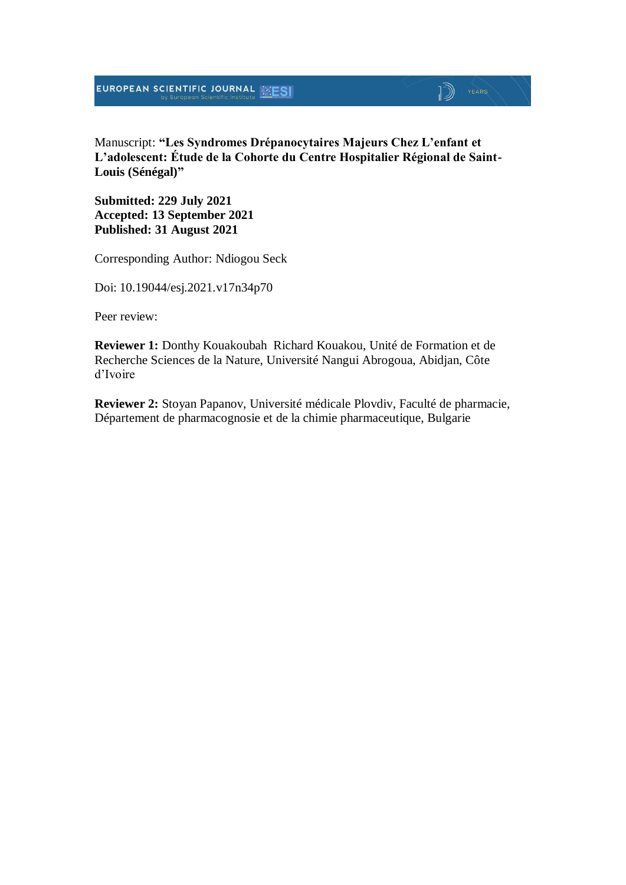### Manuscript: **"Les Syndromes Drépanocytaires Majeurs Chez L'enfant et L'adolescent: Étude de la Cohorte du Centre Hospitalier Régional de Saint-Louis (Sénégal)"**

 $\mathbb{D}$   $\mathbb{P}$   $\mathbb{P}$   $\mathbb{P}$   $\mathbb{P}$   $\mathbb{P}$   $\mathbb{P}$   $\mathbb{P}$   $\mathbb{P}$   $\mathbb{P}$   $\mathbb{P}$   $\mathbb{P}$   $\mathbb{P}$   $\mathbb{P}$   $\mathbb{P}$   $\mathbb{P}$   $\mathbb{P}$   $\mathbb{P}$   $\mathbb{P}$   $\mathbb{P}$   $\mathbb{P}$   $\mathbb{P}$   $\mathbb{P}$   $\mathbb{P}$   $\mathbb{$ 

**Submitted: 229 July 2021 Accepted: 13 September 2021 Published: 31 August 2021**

Corresponding Author: Ndiogou Seck

Doi: 10.19044/esj.2021.v17n34p70

Peer review:

**Reviewer 1:** Donthy Kouakoubah Richard Kouakou, Unité de Formation et de Recherche Sciences de la Nature, Université Nangui Abrogoua, Abidjan, Côte d'Ivoire

**Reviewer 2:** Stoyan Papanov, Université médicale Plovdiv, Faculté de pharmacie, Département de pharmacognosie et de la chimie pharmaceutique, Bulgarie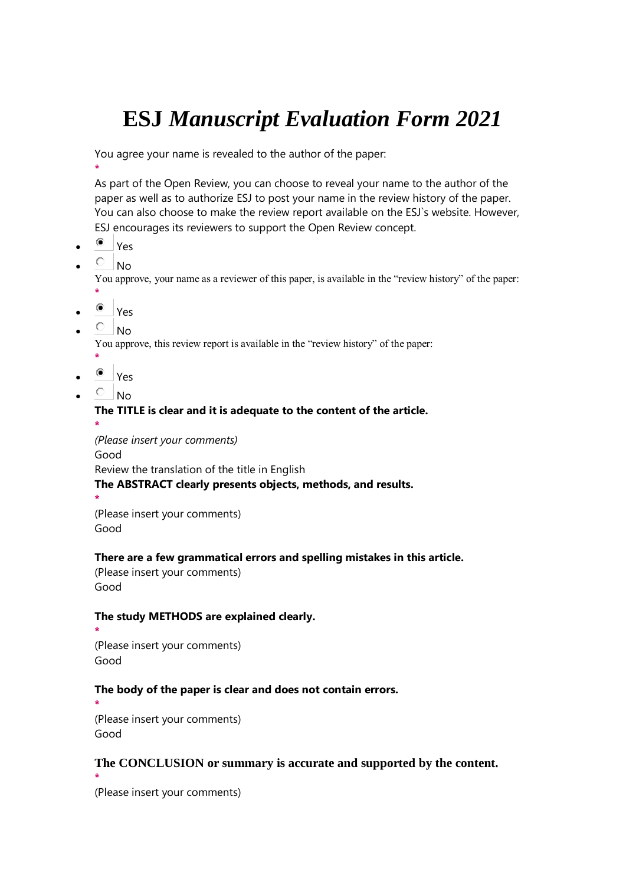# **ESJ** *Manuscript Evaluation Form 2021*

You agree your name is revealed to the author of the paper:

As part of the Open Review, you can choose to reveal your name to the author of the paper as well as to authorize ESJ to post your name in the review history of the paper. You can also choose to make the review report available on the ESJ`s website. However, ESJ encourages its reviewers to support the Open Review concept.

Yes

**\***

 $O_{\text{No}}$ 

You approve, your name as a reviewer of this paper, is available in the "review history" of the paper: **\***

- Yes
- 
- $\overline{C}$  No.

**\***

You approve, this review report is available in the "review history" of the paper:

- Yes
- $\overline{O}$  No

### **The TITLE is clear and it is adequate to the content of the article. \***

*(Please insert your comments)* Good Review the translation of the title in English **The ABSTRACT clearly presents objects, methods, and results. \***

(Please insert your comments) Good

### **There are a few grammatical errors and spelling mistakes in this article.**

(Please insert your comments) Good

### **The study METHODS are explained clearly.**

```
*
(Please insert your comments)
Good
```
### **The body of the paper is clear and does not contain errors.**

```
*
(Please insert your comments)
Good
```
### **The CONCLUSION or summary is accurate and supported by the content. \***

(Please insert your comments)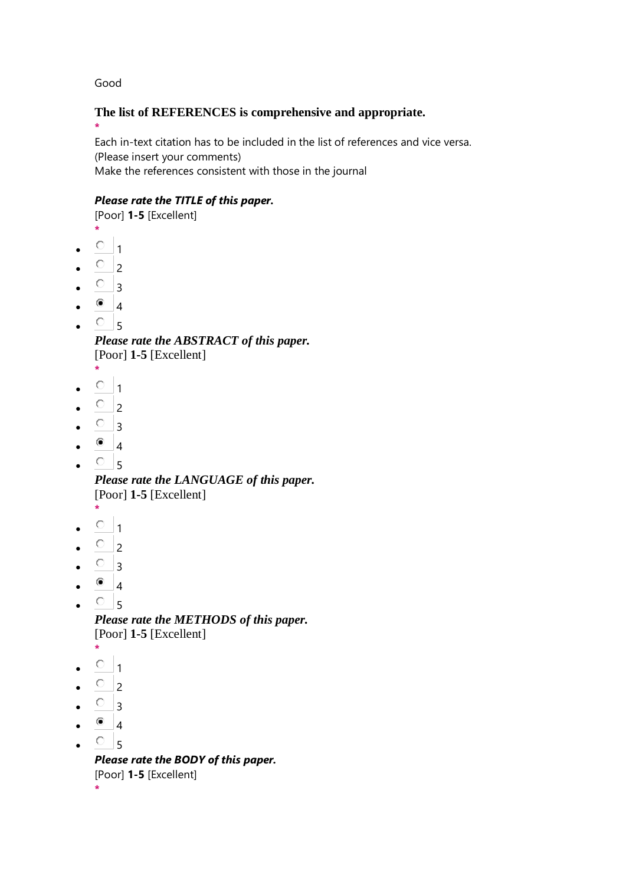Good

### **The list of REFERENCES is comprehensive and appropriate.**

**\*** Each in-text citation has to be included in the list of references and vice versa. (Please insert your comments) Make the references consistent with those in the journal

### *Please rate the TITLE of this paper.*

[Poor] **1-5** [Excellent]

- **\***
- $\circ$  1
- $\circ$  2
- $\circ$  3
- $\bullet$  4
- $\circ$  5

*Please rate the ABSTRACT of this paper.* [Poor] **1-5** [Excellent]

- **\***
- $0<sub>1</sub>$
- $\overline{C}$  2
- $\circ$  3
- $^{\circ}$  4
- $\cdot$   $\circ$  5

*Please rate the LANGUAGE of this paper.* [Poor] **1-5** [Excellent]

- **\***  $\circ$  1
- 
- $\circ$ <sub>2</sub>
- $\circ$  3
- $^{\circ}$  4
- $\circ$ <sub>5</sub>

*Please rate the METHODS of this paper.* [Poor] **1-5** [Excellent]

- **\***
- $\circ$  1
- $\circ$  2
- $\overline{\circ}$  3
- $^{\circ}$  4
- $\circ$ <sub>5</sub>

*Please rate the BODY of this paper.* [Poor] **1-5** [Excellent] **\***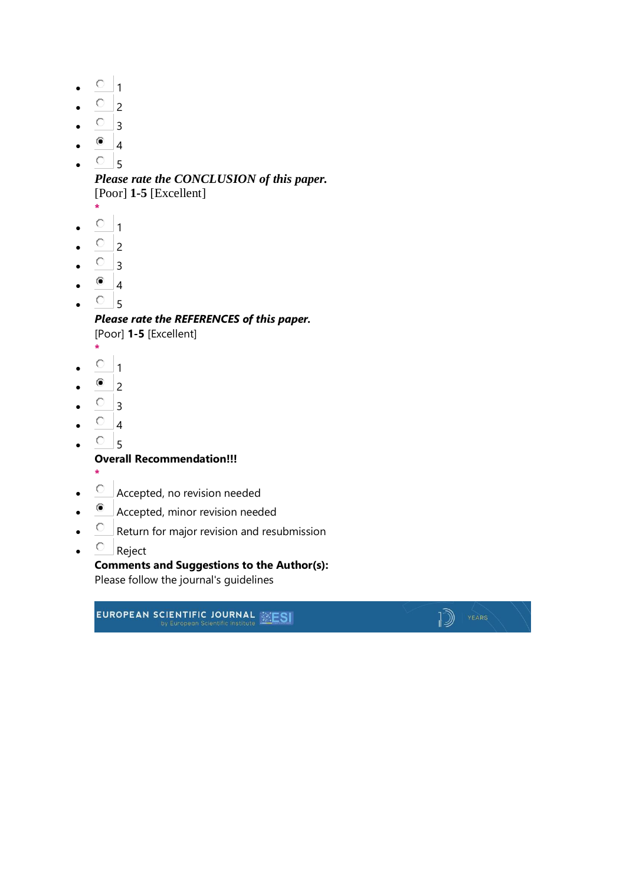- $\circ$  1
- $\overline{\circ}$  2
- $\circ$  3
- $\bullet$  4
- $\circ$  5

*Please rate the CONCLUSION of this paper.* [Poor] **1-5** [Excellent]

- **\***
- $\circ$  1
- $\overline{O}$  2
- $\circ$  3
- $\bullet$  4
- $\circ$ <sub>5</sub>

*Please rate the REFERENCES of this paper.* [Poor] **1-5** [Excellent]

- **\***
- $\circ$   $_1$
- $\bullet$  2
- $\circ$  3
- $\overline{\circ}$  4
- $\cdot$   $\circ$  5

**Overall Recommendation!!!**

- **\***
- Accepted, no revision needed
- Accepted, minor revision needed
- $\overline{C}$  Return for major revision and resubmission
- $\bullet$   $\qquad$  Reject

**Comments and Suggestions to the Author(s):** Please follow the journal's guidelines

 $\mathbb{D}$  | YEARS

EUROPEAN SCIENTIFIC JOURNAL **SESI**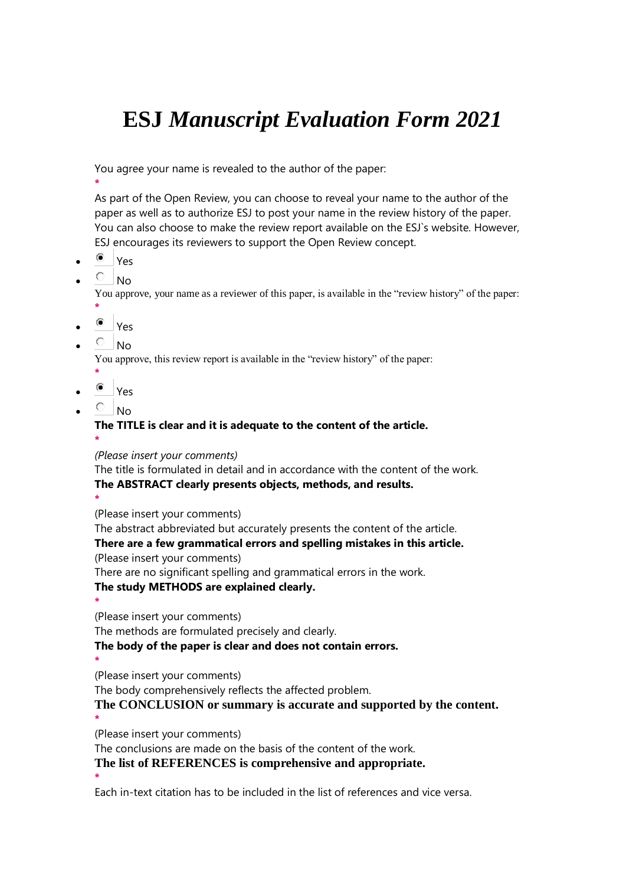# **ESJ** *Manuscript Evaluation Form 2021*

You agree your name is revealed to the author of the paper:

**\***

As part of the Open Review, you can choose to reveal your name to the author of the paper as well as to authorize ESJ to post your name in the review history of the paper. You can also choose to make the review report available on the ESJ`s website. However, ESJ encourages its reviewers to support the Open Review concept.

- Yes
- $O$  No

You approve, your name as a reviewer of this paper, is available in the "review history" of the paper: **\***

- $^{\circ}$  Yes
- $\overline{C}$  No

You approve, this review report is available in the "review history" of the paper:

- **\*** Yes
- $\overline{C}$  No

# **The TITLE is clear and it is adequate to the content of the article.**

**\***

*(Please insert your comments)*

The title is formulated in detail and in accordance with the content of the work. **The ABSTRACT clearly presents objects, methods, and results.**

**\***

**\***

**\***

(Please insert your comments)

The abstract abbreviated but accurately presents the content of the article.

### **There are a few grammatical errors and spelling mistakes in this article.**

(Please insert your comments)

There are no significant spelling and grammatical errors in the work.

### **The study METHODS are explained clearly.**

**\*** (Please insert your comments)

The methods are formulated precisely and clearly.

**The body of the paper is clear and does not contain errors.**

(Please insert your comments)

The body comprehensively reflects the affected problem.

**The CONCLUSION or summary is accurate and supported by the content. \***

(Please insert your comments)

The conclusions are made on the basis of the content of the work.

**The list of REFERENCES is comprehensive and appropriate.**

Each in-text citation has to be included in the list of references and vice versa.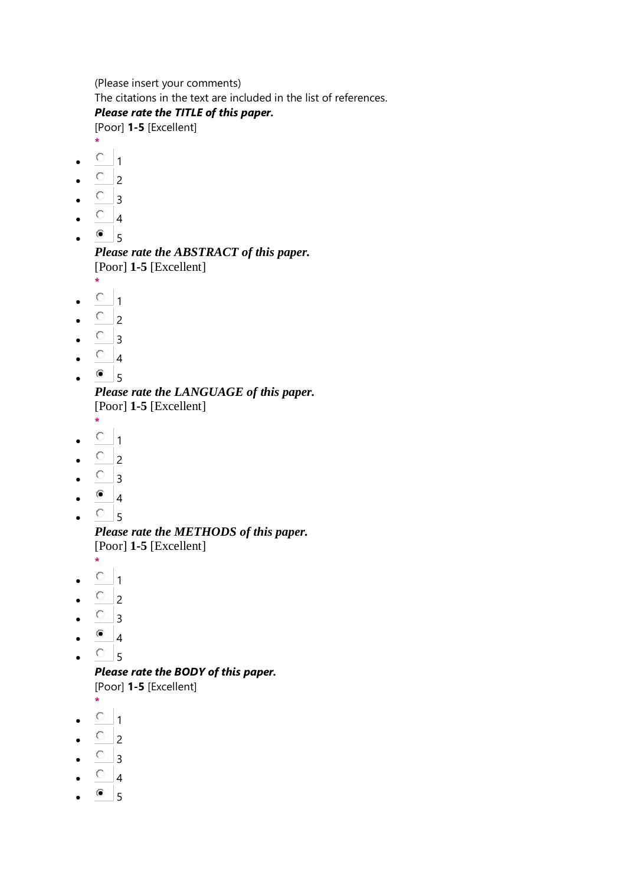(Please insert your comments) The citations in the text are included in the list of references.

### *Please rate the TITLE of this paper.*

[Poor] **1-5** [Excellent]

- **\***  $\bullet$  0 1
- $\overline{O}$  2
- $\circ$  3
- $O_{4}$
- 
- $^{\circ}$  5

*Please rate the ABSTRACT of this paper.* [Poor] **1-5** [Excellent] **\***

- $\cdot$   $\circ$   $\cdot$  1
- $\overline{O}$  2
- $\circ$  3
- $\circ$  4
- $\bullet$  6 5
- *Please rate the LANGUAGE of this paper.* [Poor] **1-5** [Excellent]
- **\***
- $\circ$   $_1$
- $\overline{O}$  2
- $\bullet$   $\circ$  3
- $^{\circ}$  4
- $\cdot$   $\circ$  5

*Please rate the METHODS of this paper.* [Poor] **1-5** [Excellent]

- **\***
- $\circ$  1
- $\overline{O}$  2
- $\overline{O}$  3
- $\bullet$  4
- $\cdot$   $\circ$   $\cdot$  5

*Please rate the BODY of this paper.* [Poor] **1-5** [Excellent]

**\***

- $\circ$   $_1$
- $\circ$  2
- $\overline{O}$  3
- $\bullet$   $\circ$  4
- $^{\circ}$  5